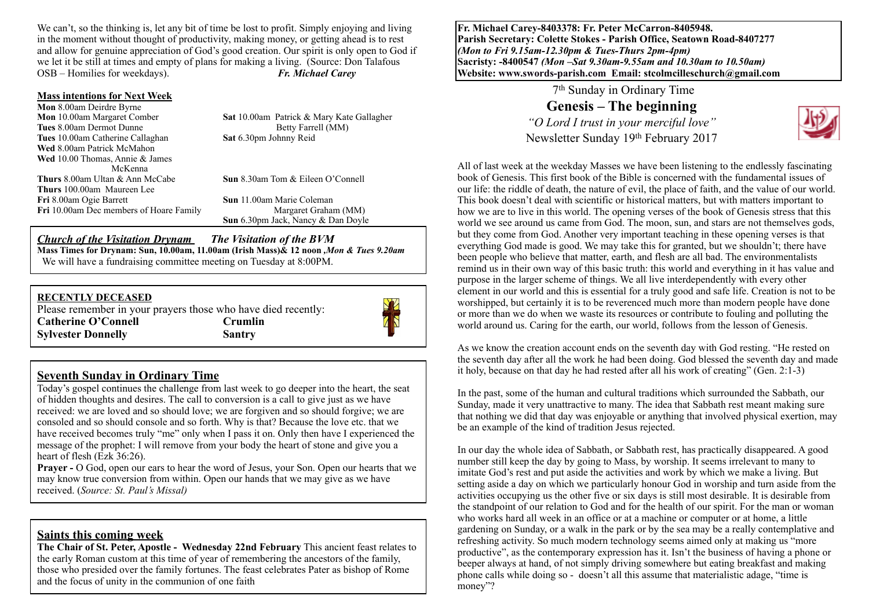We can't, so the thinking is, let any bit of time be lost to profit. Simply enjoying and living in the moment without thought of productivity, making money, or getting ahead is to rest and allow for genuine appreciation of God's good creation. Our spirit is only open to God if we let it be still at times and empty of plans for making a living. (Source: Don Talafous OSB – Homilies for weekdays). *Fr. Michael Carey*

#### **Mass intentions for Next Week**

| Mon 8.00am Deirdre Byrne                       |                                           |
|------------------------------------------------|-------------------------------------------|
| <b>Mon</b> 10.00am Margaret Comber             | Sat 10.00am Patrick & Mary Kate Gallagher |
| Tues 8.00am Dermot Dunne                       | Betty Farrell (MM)                        |
| Tues 10.00am Catherine Callaghan               | Sat 6.30pm Johnny Reid                    |
| <b>Wed 8.00am Patrick McMahon</b>              |                                           |
| <b>Wed</b> 10.00 Thomas, Annie $\&$ James      |                                           |
| McKenna                                        |                                           |
| <b>Thurs</b> 8.00am Ultan & Ann McCabe         | <b>Sun</b> 8.30am Tom & Eileen O'Connell  |
| <b>Thurs</b> 100.00am Maureen Lee              |                                           |
| Fri 8.00am Ogie Barrett                        | <b>Sun</b> 11.00am Marie Coleman          |
| <b>Fri</b> 10.00am Dec members of Hoare Family | Margaret Graham (MM)                      |
|                                                | <b>Sun</b> 6.30pm Jack, Nancy & Dan Doyle |

#### *Church of the Visitation Drynam**The Visitation of the BVM* **Mass Times for Drynam: Sun, 10.00am, 11.00am (Irish Mass)& 12 noon** *,Mon & Tues 9.20am*  We will have a fundraising committee meeting on Tuesday at 8:00PM.

#### **RECENTLY DECEASED**

Please remember in your prayers those who have died recently: Catherine O'Connell **Crumlin Sylvester Donnelly Santry** 



#### **Seventh Sunday in Ordinary Time**

Today's gospel continues the challenge from last week to go deeper into the heart, the seat of hidden thoughts and desires. The call to conversion is a call to give just as we have received: we are loved and so should love; we are forgiven and so should forgive; we are consoled and so should console and so forth. Why is that? Because the love etc. that we have received becomes truly "me" only when I pass it on. Only then have I experienced the message of the prophet: I will remove from your body the heart of stone and give you a heart of flesh (Ezk 36:26).

**Prayer -** O God, open our ears to hear the word of Jesus, your Son. Open our hearts that we may know true conversion from within. Open our hands that we may give as we have received. (*Source: St. Paul's Missal)*

**Saints this coming week**<br>The Chair of St. Peter, Apostle - Wednesday 22nd February This ancient feast relates to the early Roman custom at this time of year of remembering the ancestors of the family, those who presided over the family fortunes. The feast celebrates Pater as bishop of Rome and the focus of unity in the communion of one faith

**Fr. Michael Carey-8403378: Fr. Peter McCarron-8405948. Parish Secretary: Colette Stokes - Parish Office, Seatown Road-8407277**  *(Mon to Fri 9.15am-12.30pm & Tues-Thurs 2pm-4pm)*  **Sacristy: -8400547** *(Mon –Sat 9.30am-9.55am and 10.30am to 10.50am)* **Website: [www.swords-parish.com Email:](http://www.swords-parish.com%20%20email) stcolmcilleschurch@gmail.com**

> 7th Sunday in Ordinary Time **Genesis – The beginning** *"O Lord I trust in your merciful love"*  Newsletter Sunday 19th February 2017



All of last week at the weekday Masses we have been listening to the endlessly fascinating book of Genesis. This first book of the Bible is concerned with the fundamental issues of our life: the riddle of death, the nature of evil, the place of faith, and the value of our world. This book doesn't deal with scientific or historical matters, but with matters important to how we are to live in this world. The opening verses of the book of Genesis stress that this world we see around us came from God. The moon, sun, and stars are not themselves gods, but they come from God. Another very important teaching in these opening verses is that everything God made is good. We may take this for granted, but we shouldn't; there have been people who believe that matter, earth, and flesh are all bad. The environmentalists remind us in their own way of this basic truth: this world and everything in it has value and purpose in the larger scheme of things. We all live interdependently with every other element in our world and this is essential for a truly good and safe life. Creation is not to be worshipped, but certainly it is to be reverenced much more than modern people have done or more than we do when we waste its resources or contribute to fouling and polluting the world around us. Caring for the earth, our world, follows from the lesson of Genesis.

As we know the creation account ends on the seventh day with God resting. "He rested on the seventh day after all the work he had been doing. God blessed the seventh day and made it holy, because on that day he had rested after all his work of creating" (Gen. 2:1-3)

In the past, some of the human and cultural traditions which surrounded the Sabbath, our Sunday, made it very unattractive to many. The idea that Sabbath rest meant making sure that nothing we did that day was enjoyable or anything that involved physical exertion, may be an example of the kind of tradition Jesus rejected.

In our day the whole idea of Sabbath, or Sabbath rest, has practically disappeared. A good number still keep the day by going to Mass, by worship. It seems irrelevant to many to imitate God's rest and put aside the activities and work by which we make a living. But setting aside a day on which we particularly honour God in worship and turn aside from the activities occupying us the other five or six days is still most desirable. It is desirable from the standpoint of our relation to God and for the health of our spirit. For the man or woman who works hard all week in an office or at a machine or computer or at home, a little gardening on Sunday, or a walk in the park or by the sea may be a really contemplative and refreshing activity. So much modern technology seems aimed only at making us "more productive", as the contemporary expression has it. Isn't the business of having a phone or beeper always at hand, of not simply driving somewhere but eating breakfast and making phone calls while doing so - doesn't all this assume that materialistic adage, "time is money"?